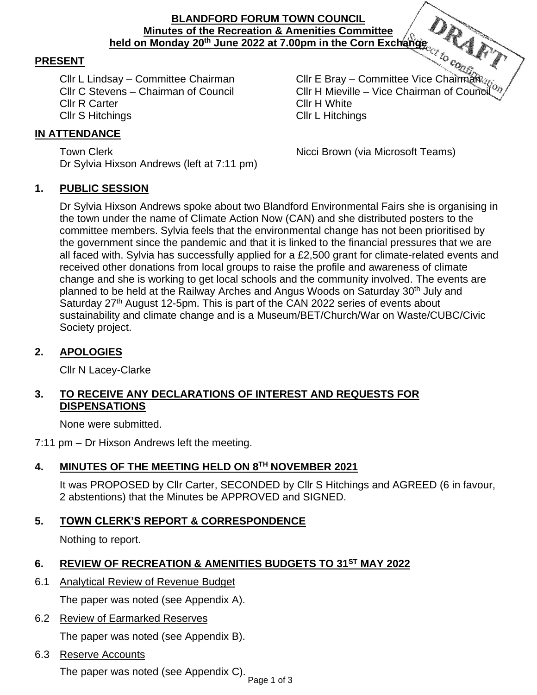#### **BLANDFORD FORUM TOWN COUNCIL Minutes of the Recreation & Amenities Committee held on Monday 20th June 2022 at 7.00pm in the Corn Exchange**

# **PRESENT**

Cllr R Carter Clir H White Cllr S Hitchings Cllr L Hitchings

Cllr L Lindsay – Committee Chairman Cllr E Bray – Committee Vice Chairman Cllr C Stevens – Chairman of Council Cllr H Mieville – Vice Chairman of Council

## **IN ATTENDANCE**

Town Clerk **Nicci Brown** (via Microsoft Teams) Dr Sylvia Hixson Andrews (left at 7:11 pm)

#### **1. PUBLIC SESSION**

Dr Sylvia Hixson Andrews spoke about two Blandford Environmental Fairs she is organising in the town under the name of Climate Action Now (CAN) and she distributed posters to the committee members. Sylvia feels that the environmental change has not been prioritised by the government since the pandemic and that it is linked to the financial pressures that we are all faced with. Sylvia has successfully applied for a £2,500 grant for climate-related events and received other donations from local groups to raise the profile and awareness of climate change and she is working to get local schools and the community involved. The events are planned to be held at the Railway Arches and Angus Woods on Saturday 30<sup>th</sup> July and Saturday 27<sup>th</sup> August 12-5pm. This is part of the CAN 2022 series of events about sustainability and climate change and is a Museum/BET/Church/War on Waste/CUBC/Civic Society project.

## **2. APOLOGIES**

Cllr N Lacey-Clarke

## **3. TO RECEIVE ANY DECLARATIONS OF INTEREST AND REQUESTS FOR DISPENSATIONS**

None were submitted.

7:11 pm – Dr Hixson Andrews left the meeting.

# **4. MINUTES OF THE MEETING HELD ON 8 TH NOVEMBER 2021**

It was PROPOSED by Cllr Carter, SECONDED by Cllr S Hitchings and AGREED (6 in favour, 2 abstentions) that the Minutes be APPROVED and SIGNED.

**5. TOWN CLERK'S REPORT & CORRESPONDENCE**

Nothing to report.

# **6. REVIEW OF RECREATION & AMENITIES BUDGETS TO 31ST MAY 2022**

6.1 Analytical Review of Revenue Budget

The paper was noted (see Appendix A).

6.2 Review of Earmarked Reserves

The paper was noted (see Appendix B).

6.3 Reserve Accounts

The paper was noted (see Appendix C).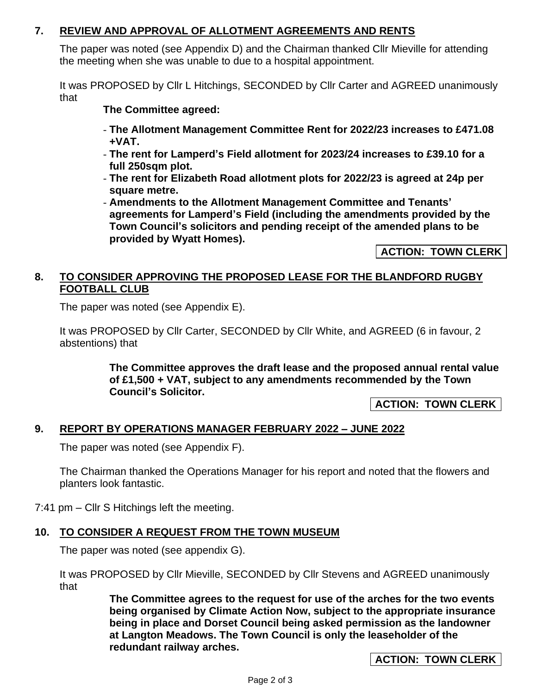## **7. REVIEW AND APPROVAL OF ALLOTMENT AGREEMENTS AND RENTS**

The paper was noted (see Appendix D) and the Chairman thanked Cllr Mieville for attending the meeting when she was unable to due to a hospital appointment.

It was PROPOSED by Cllr L Hitchings, SECONDED by Cllr Carter and AGREED unanimously that

**The Committee agreed:** 

- **The Allotment Management Committee Rent for 2022/23 increases to £471.08 +VAT.**
- **The rent for Lamperd's Field allotment for 2023/24 increases to £39.10 for a full 250sqm plot.**
- **The rent for Elizabeth Road allotment plots for 2022/23 is agreed at 24p per square metre.**
- **Amendments to the Allotment Management Committee and Tenants' agreements for Lamperd's Field (including the amendments provided by the Town Council's solicitors and pending receipt of the amended plans to be provided by Wyatt Homes).**

**ACTION: TOWN CLERK**

#### **8. TO CONSIDER APPROVING THE PROPOSED LEASE FOR THE BLANDFORD RUGBY FOOTBALL CLUB**

The paper was noted (see Appendix E).

It was PROPOSED by Cllr Carter, SECONDED by Cllr White, and AGREED (6 in favour, 2 abstentions) that

> **The Committee approves the draft lease and the proposed annual rental value of £1,500 + VAT, subject to any amendments recommended by the Town Council's Solicitor.**

> > **ACTION: TOWN CLERK**

# **9. REPORT BY OPERATIONS MANAGER FEBRUARY 2022 – JUNE 2022**

The paper was noted (see Appendix F).

The Chairman thanked the Operations Manager for his report and noted that the flowers and planters look fantastic.

7:41 pm – Cllr S Hitchings left the meeting.

#### **10. TO CONSIDER A REQUEST FROM THE TOWN MUSEUM** Ĩ.

The paper was noted (see appendix G).

It was PROPOSED by Cllr Mieville, SECONDED by Cllr Stevens and AGREED unanimously that

> **The Committee agrees to the request for use of the arches for the two events being organised by Climate Action Now, subject to the appropriate insurance being in place and Dorset Council being asked permission as the landowner at Langton Meadows. The Town Council is only the leaseholder of the redundant railway arches.**

> > **ACTION: TOWN CLERK**